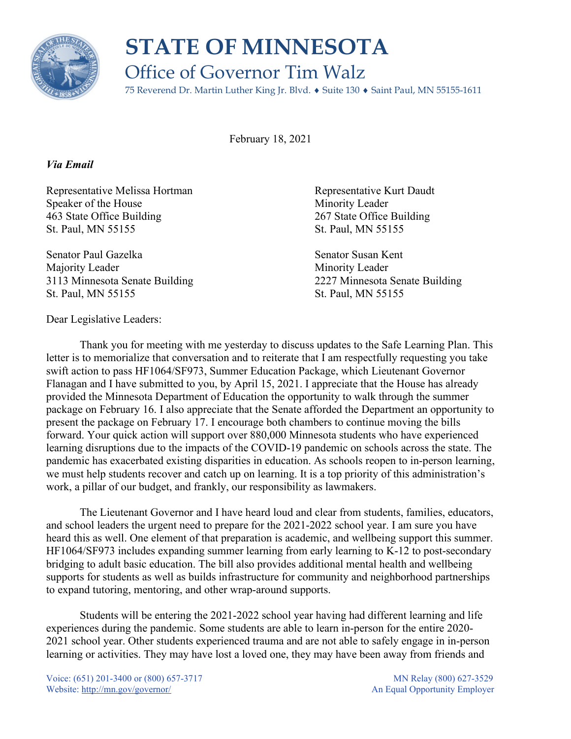

## **STATE OF MINNESOTA** Office of Governor Tim Walz

75 Reverend Dr. Martin Luther King Jr. Blvd. ♦ Suite 130 ♦ Saint Paul, MN 55155-1611

February 18, 2021

## *Via Email*

Representative Melissa Hortman and Representative Kurt Daudt Speaker of the House Minority Leader 463 State Office Building 267 State Office Building St. Paul, MN 55155 St. Paul, MN 55155

Senator Paul Gazelka Senator Susan Kent Majority Leader **Minority** Leader St. Paul, MN 55155 St. Paul, MN 55155

3113 Minnesota Senate Building 2227 Minnesota Senate Building

Dear Legislative Leaders:

Thank you for meeting with me yesterday to discuss updates to the Safe Learning Plan. This letter is to memorialize that conversation and to reiterate that I am respectfully requesting you take swift action to pass HF1064/SF973, Summer Education Package, which Lieutenant Governor Flanagan and I have submitted to you, by April 15, 2021. I appreciate that the House has already provided the Minnesota Department of Education the opportunity to walk through the summer package on February 16. I also appreciate that the Senate afforded the Department an opportunity to present the package on February 17. I encourage both chambers to continue moving the bills forward. Your quick action will support over 880,000 Minnesota students who have experienced learning disruptions due to the impacts of the COVID-19 pandemic on schools across the state. The pandemic has exacerbated existing disparities in education. As schools reopen to in-person learning, we must help students recover and catch up on learning. It is a top priority of this administration's work, a pillar of our budget, and frankly, our responsibility as lawmakers.

The Lieutenant Governor and I have heard loud and clear from students, families, educators, and school leaders the urgent need to prepare for the 2021-2022 school year. I am sure you have heard this as well. One element of that preparation is academic, and wellbeing support this summer. HF1064/SF973 includes expanding summer learning from early learning to K-12 to post-secondary bridging to adult basic education. The bill also provides additional mental health and wellbeing supports for students as well as builds infrastructure for community and neighborhood partnerships to expand tutoring, mentoring, and other wrap-around supports.

Students will be entering the 2021-2022 school year having had different learning and life experiences during the pandemic. Some students are able to learn in-person for the entire 2020- 2021 school year. Other students experienced trauma and are not able to safely engage in in-person learning or activities. They may have lost a loved one, they may have been away from friends and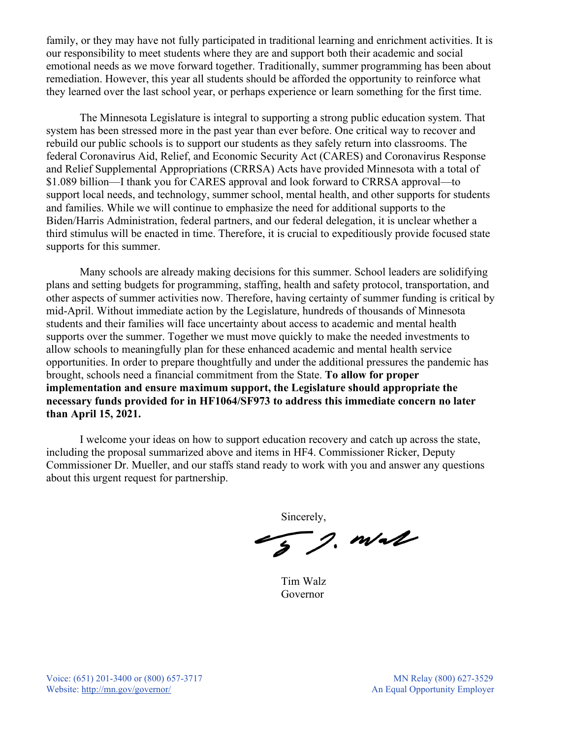family, or they may have not fully participated in traditional learning and enrichment activities. It is our responsibility to meet students where they are and support both their academic and social emotional needs as we move forward together. Traditionally, summer programming has been about remediation. However, this year all students should be afforded the opportunity to reinforce what they learned over the last school year, or perhaps experience or learn something for the first time.

The Minnesota Legislature is integral to supporting a strong public education system. That system has been stressed more in the past year than ever before. One critical way to recover and rebuild our public schools is to support our students as they safely return into classrooms. The federal Coronavirus Aid, Relief, and Economic Security Act (CARES) and Coronavirus Response and Relief Supplemental Appropriations (CRRSA) Acts have provided Minnesota with a total of \$1.089 billion—I thank you for CARES approval and look forward to CRRSA approval—to support local needs, and technology, summer school, mental health, and other supports for students and families. While we will continue to emphasize the need for additional supports to the Biden/Harris Administration, federal partners, and our federal delegation, it is unclear whether a third stimulus will be enacted in time. Therefore, it is crucial to expeditiously provide focused state supports for this summer.

Many schools are already making decisions for this summer. School leaders are solidifying plans and setting budgets for programming, staffing, health and safety protocol, transportation, and other aspects of summer activities now. Therefore, having certainty of summer funding is critical by mid-April. Without immediate action by the Legislature, hundreds of thousands of Minnesota students and their families will face uncertainty about access to academic and mental health supports over the summer. Together we must move quickly to make the needed investments to allow schools to meaningfully plan for these enhanced academic and mental health service opportunities. In order to prepare thoughtfully and under the additional pressures the pandemic has brought, schools need a financial commitment from the State. **To allow for proper implementation and ensure maximum support, the Legislature should appropriate the necessary funds provided for in HF1064/SF973 to address this immediate concern no later than April 15, 2021.**

I welcome your ideas on how to support education recovery and catch up across the state, including the proposal summarized above and items in HF4. Commissioner Ricker, Deputy Commissioner Dr. Mueller, and our staffs stand ready to work with you and answer any questions about this urgent request for partnership.

Sincerely,

5 g. mal

Tim Walz Governor